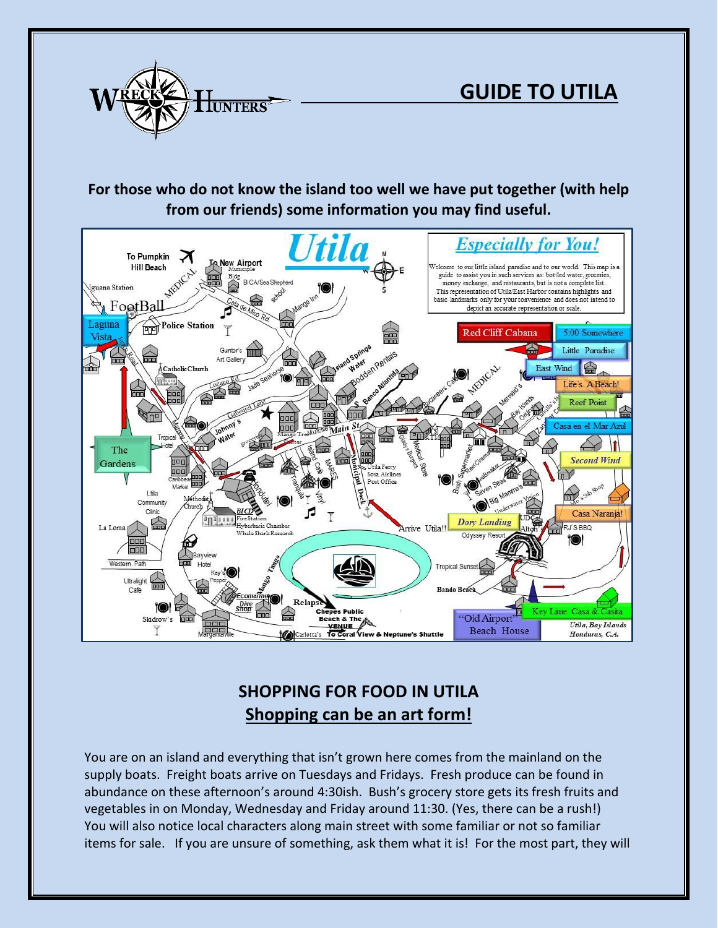

# **For those who do not know the island too well we have put together (with help from our friends) some information you may find useful.**



# **SHOPPING FOR FOOD IN UTILA Shopping can be an art form!**

You are on an island and everything that isn't grown here comes from the mainland on the supply boats. Freight boats arrive on Tuesdays and Fridays. Fresh produce can be found in abundance on these afternoon's around 4:30ish. Bush's grocery store gets its fresh fruits and vegetables in on Monday, Wednesday and Friday around 11:30. (Yes, there can be a rush!) You will also notice local characters along main street with some familiar or not so familiar items for sale. If you are unsure of something, ask them what it is! For the most part, they will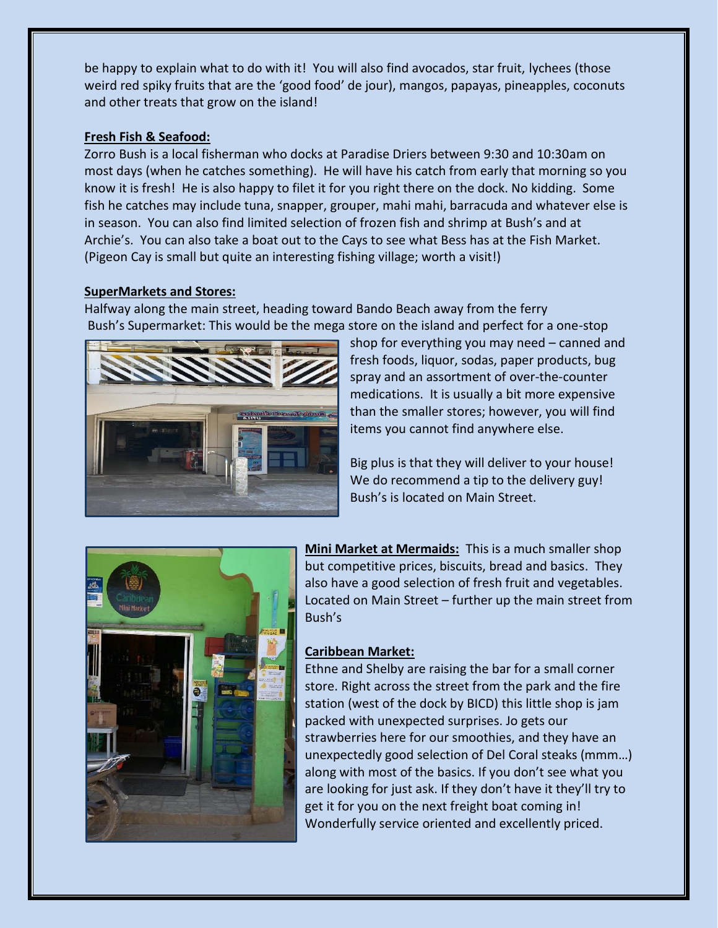be happy to explain what to do with it! You will also find avocados, star fruit, lychees (those weird red spiky fruits that are the 'good food' de jour), mangos, papayas, pineapples, coconuts and other treats that grow on the island!

### **Fresh Fish & Seafood:**

Zorro Bush is a local fisherman who docks at Paradise Driers between 9:30 and 10:30am on most days (when he catches something). He will have his catch from early that morning so you know it is fresh! He is also happy to filet it for you right there on the dock. No kidding. Some fish he catches may include tuna, snapper, grouper, mahi mahi, barracuda and whatever else is in season. You can also find limited selection of frozen fish and shrimp at Bush's and at Archie's. You can also take a boat out to the Cays to see what Bess has at the Fish Market. (Pigeon Cay is small but quite an interesting fishing village; worth a visit!)

### **SuperMarkets and Stores:**

Halfway along the main street, heading toward Bando Beach away from the ferry Bush's Supermarket: This would be the mega store on the island and perfect for a one-stop



shop for everything you may need – canned and fresh foods, liquor, sodas, paper products, bug spray and an assortment of over-the-counter medications. It is usually a bit more expensive than the smaller stores; however, you will find items you cannot find anywhere else.

Big plus is that they will deliver to your house! We do recommend a tip to the delivery guy! Bush's is located on Main Street.



**Mini Market at Mermaids:** This is a much smaller shop but competitive prices, biscuits, bread and basics. They also have a good selection of fresh fruit and vegetables. Located on Main Street – further up the main street from Bush's

### **Caribbean Market:**

Ethne and Shelby are raising the bar for a small corner store. Right across the street from the park and the fire station (west of the dock by BICD) this little shop is jam packed with unexpected surprises. Jo gets our strawberries here for our smoothies, and they have an unexpectedly good selection of Del Coral steaks (mmm…) along with most of the basics. If you don't see what you are looking for just ask. If they don't have it they'll try to get it for you on the next freight boat coming in! Wonderfully service oriented and excellently priced.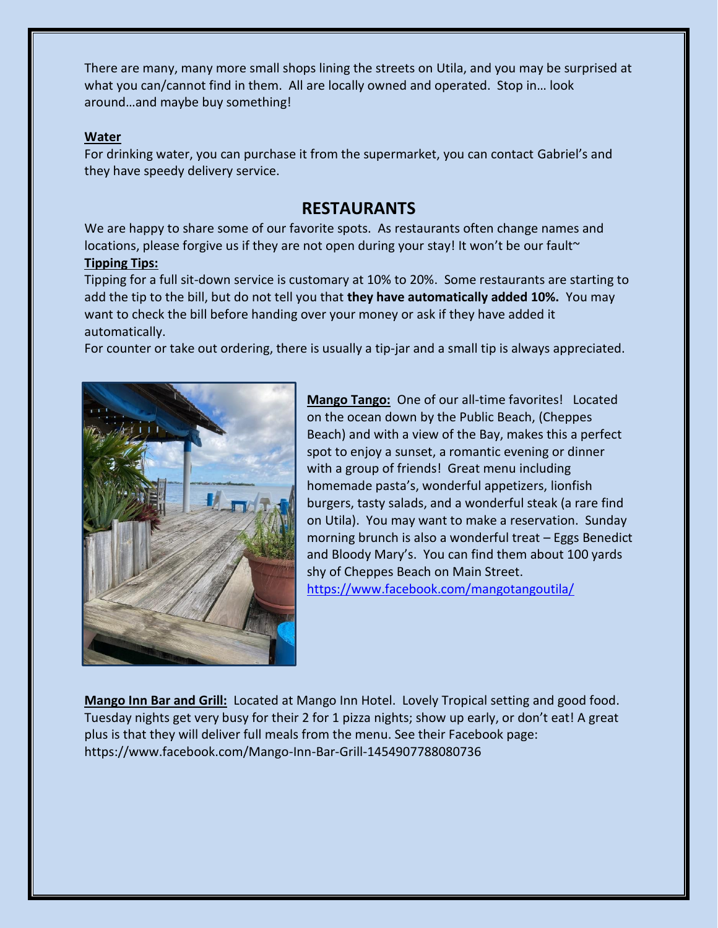There are many, many more small shops lining the streets on Utila, and you may be surprised at what you can/cannot find in them. All are locally owned and operated. Stop in… look around…and maybe buy something!

### **Water**

For drinking water, you can purchase it from the supermarket, you can contact Gabriel's and they have speedy delivery service.

# **RESTAURANTS**

We are happy to share some of our favorite spots. As restaurants often change names and locations, please forgive us if they are not open during your stay! It won't be our fault~ **Tipping Tips:**

Tipping for a full sit-down service is customary at 10% to 20%. Some restaurants are starting to add the tip to the bill, but do not tell you that **they have automatically added 10%.** You may want to check the bill before handing over your money or ask if they have added it automatically.

For counter or take out ordering, there is usually a tip-jar and a small tip is always appreciated.



**Mango Tango:** One of our all-time favorites! Located on the ocean down by the Public Beach, (Cheppes Beach) and with a view of the Bay, makes this a perfect spot to enjoy a sunset, a romantic evening or dinner with a group of friends! Great menu including homemade pasta's, wonderful appetizers, lionfish burgers, tasty salads, and a wonderful steak (a rare find on Utila). You may want to make a reservation. Sunday morning brunch is also a wonderful treat – Eggs Benedict and Bloody Mary's. You can find them about 100 yards shy of Cheppes Beach on Main Street. <https://www.facebook.com/mangotangoutila/>

**Mango Inn Bar and Grill:** Located at Mango Inn Hotel. Lovely Tropical setting and good food. Tuesday nights get very busy for their 2 for 1 pizza nights; show up early, or don't eat! A great plus is that they will deliver full meals from the menu. See their Facebook page: https://www.facebook.com/Mango-Inn-Bar-Grill-1454907788080736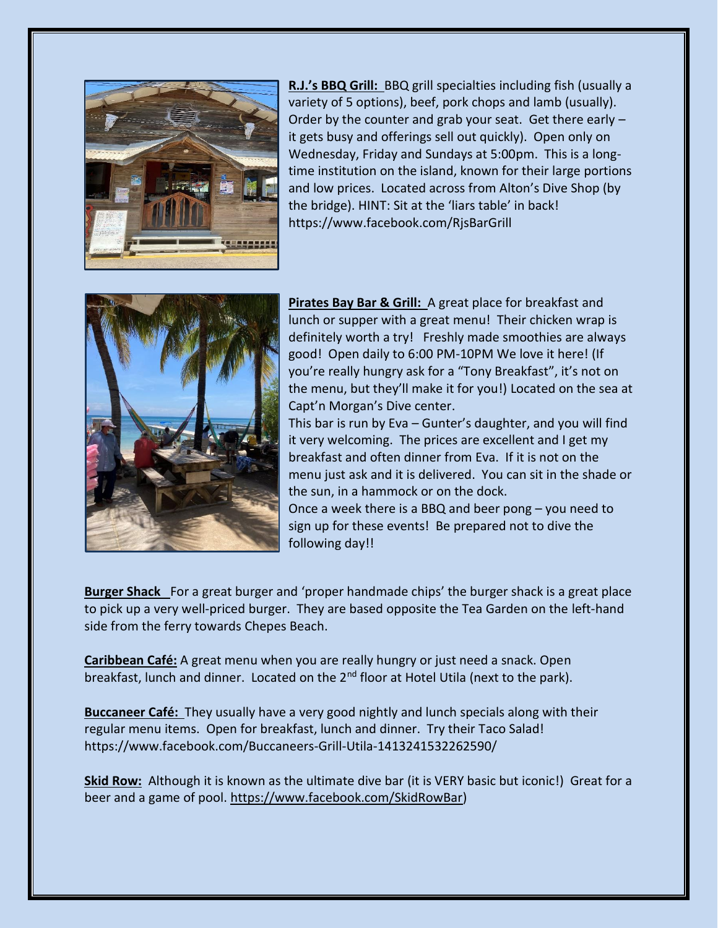

**R.J.'s BBQ Grill:** BBQ grill specialties including fish (usually a variety of 5 options), beef, pork chops and lamb (usually). Order by the counter and grab your seat. Get there early – it gets busy and offerings sell out quickly). Open only on Wednesday, Friday and Sundays at 5:00pm. This is a longtime institution on the island, known for their large portions and low prices. Located across from Alton's Dive Shop (by the bridge). HINT: Sit at the 'liars table' in back! https://www.facebook.com/RjsBarGrill



**Pirates Bay Bar & Grill:** A great place for breakfast and lunch or supper with a great menu! Their chicken wrap is definitely worth a try! Freshly made smoothies are always good! Open daily to 6:00 PM-10PM We love it here! (If you're really hungry ask for a "Tony Breakfast", it's not on the menu, but they'll make it for you!) Located on the sea at Capt'n Morgan's Dive center.

This bar is run by Eva – Gunter's daughter, and you will find it very welcoming. The prices are excellent and I get my breakfast and often dinner from Eva. If it is not on the menu just ask and it is delivered. You can sit in the shade or the sun, in a hammock or on the dock.

Once a week there is a BBQ and beer pong – you need to sign up for these events! Be prepared not to dive the following day!!

**Burger Shack** For a great burger and 'proper handmade chips' the burger shack is a great place to pick up a very well-priced burger. They are based opposite the Tea Garden on the left-hand side from the ferry towards Chepes Beach.

**Caribbean Café:** A great menu when you are really hungry or just need a snack. Open breakfast, lunch and dinner. Located on the 2<sup>nd</sup> floor at Hotel Utila (next to the park).

**Buccaneer Café:** They usually have a very good nightly and lunch specials along with their regular menu items. Open for breakfast, lunch and dinner. Try their Taco Salad! https://www.facebook.com/Buccaneers-Grill-Utila-1413241532262590/

**Skid Row:** Although it is known as the ultimate dive bar (it is VERY basic but iconic!) Great for a beer and a game of pool. [https://www.facebook.com/SkidRowBar\)](https://www.facebook.com/SkidRowBar)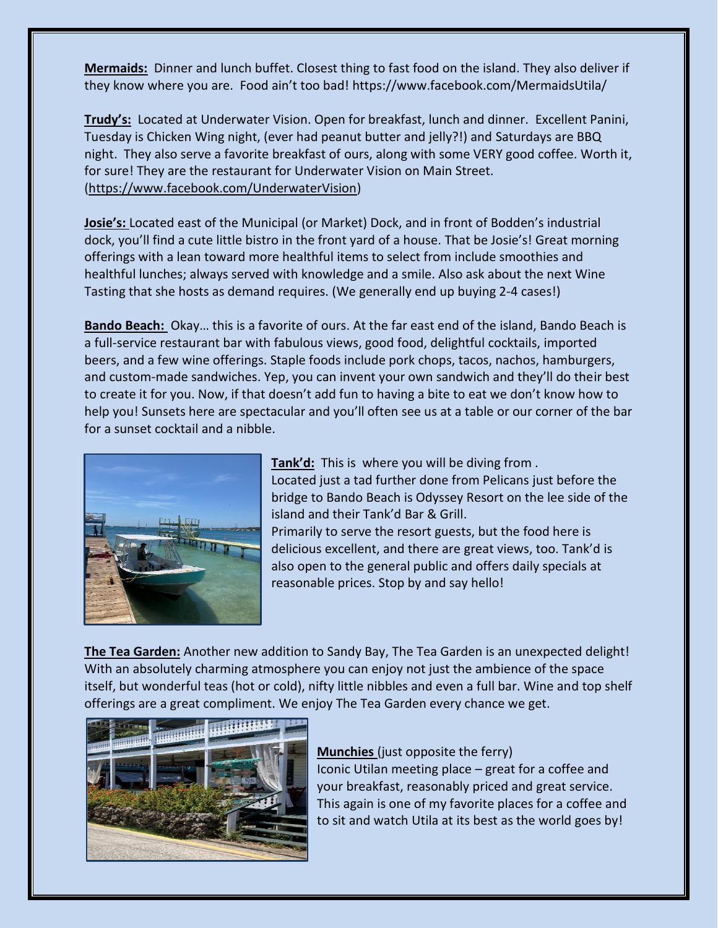**Mermaids:** Dinner and lunch buffet. Closest thing to fast food on the island. They also deliver if they know where you are. Food ain't too bad! https://www.facebook.com/MermaidsUtila/

**Trudy's:** Located at Underwater Vision. Open for breakfast, lunch and dinner. Excellent Panini, Tuesday is Chicken Wing night, (ever had peanut butter and jelly?!) and Saturdays are BBQ night. They also serve a favorite breakfast of ours, along with some VERY good coffee. Worth it, for sure! They are the restaurant for Underwater Vision on Main Street. [\(https://www.facebook.com/UnderwaterVision\)](https://www.facebook.com/UnderwaterVision)

**Josie's:** Located east of the Municipal (or Market) Dock, and in front of Bodden's industrial dock, you'll find a cute little bistro in the front yard of a house. That be Josie's! Great morning offerings with a lean toward more healthful items to select from include smoothies and healthful lunches; always served with knowledge and a smile. Also ask about the next Wine Tasting that she hosts as demand requires. (We generally end up buying 2-4 cases!)

**Bando Beach:** Okay… this is a favorite of ours. At the far east end of the island, Bando Beach is a full-service restaurant bar with fabulous views, good food, delightful cocktails, imported beers, and a few wine offerings. Staple foods include pork chops, tacos, nachos, hamburgers, and custom-made sandwiches. Yep, you can invent your own sandwich and they'll do their best to create it for you. Now, if that doesn't add fun to having a bite to eat we don't know how to help you! Sunsets here are spectacular and you'll often see us at a table or our corner of the bar for a sunset cocktail and a nibble.



**Tank'd:** This is where you will be diving from . Located just a tad further done from Pelicans just before the bridge to Bando Beach is Odyssey Resort on the lee side of the island and their Tank'd Bar & Grill. Primarily to serve the resort guests, but the food here is delicious excellent, and there are great views, too. Tank'd is also open to the general public and offers daily specials at

reasonable prices. Stop by and say hello!

**The Tea Garden:** Another new addition to Sandy Bay, The Tea Garden is an unexpected delight! With an absolutely charming atmosphere you can enjoy not just the ambience of the space itself, but wonderful teas (hot or cold), nifty little nibbles and even a full bar. Wine and top shelf offerings are a great compliment. We enjoy The Tea Garden every chance we get.



### **Munchies** (just opposite the ferry)

Iconic Utilan meeting place – great for a coffee and your breakfast, reasonably priced and great service. This again is one of my favorite places for a coffee and to sit and watch Utila at its best as the world goes by!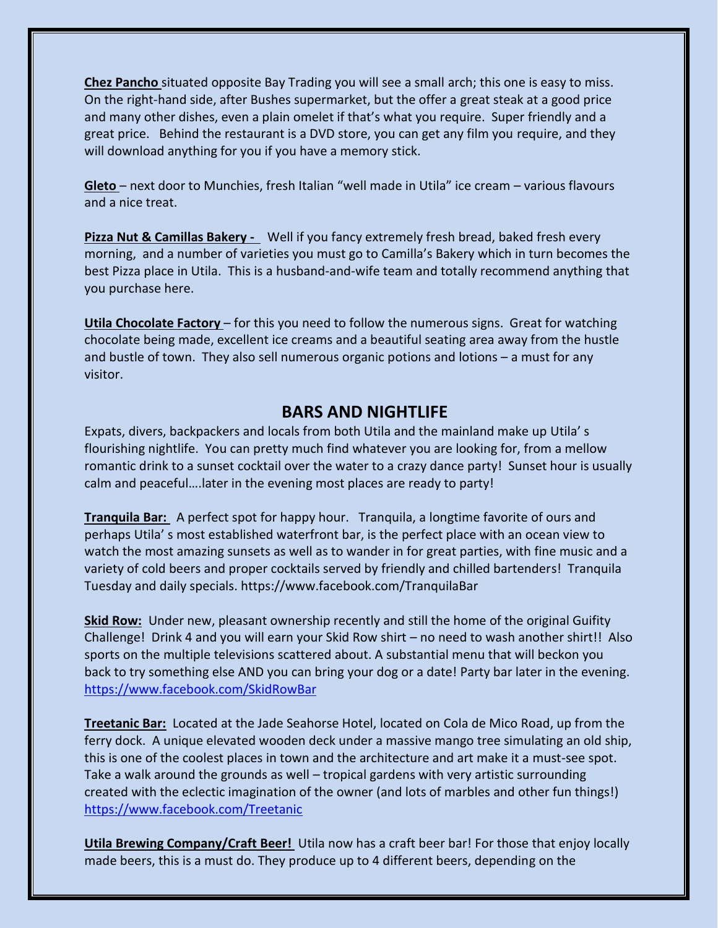**Chez Pancho** situated opposite Bay Trading you will see a small arch; this one is easy to miss. On the right-hand side, after Bushes supermarket, but the offer a great steak at a good price and many other dishes, even a plain omelet if that's what you require. Super friendly and a great price. Behind the restaurant is a DVD store, you can get any film you require, and they will download anything for you if you have a memory stick.

**Gleto** – next door to Munchies, fresh Italian "well made in Utila" ice cream – various flavours and a nice treat.

**Pizza Nut & Camillas Bakery -** Well if you fancy extremely fresh bread, baked fresh every morning, and a number of varieties you must go to Camilla's Bakery which in turn becomes the best Pizza place in Utila. This is a husband-and-wife team and totally recommend anything that you purchase here.

**Utila Chocolate Factory** – for this you need to follow the numerous signs. Great for watching chocolate being made, excellent ice creams and a beautiful seating area away from the hustle and bustle of town. They also sell numerous organic potions and lotions – a must for any visitor.

### **BARS AND NIGHTLIFE**

Expats, divers, backpackers and locals from both Utila and the mainland make up Utila' s flourishing nightlife. You can pretty much find whatever you are looking for, from a mellow romantic drink to a sunset cocktail over the water to a crazy dance party! Sunset hour is usually calm and peaceful….later in the evening most places are ready to party!

**Tranquila Bar:** A perfect spot for happy hour. Tranquila, a longtime favorite of ours and perhaps Utila' s most established waterfront bar, is the perfect place with an ocean view to watch the most amazing sunsets as well as to wander in for great parties, with fine music and a variety of cold beers and proper cocktails served by friendly and chilled bartenders! Tranquila Tuesday and daily specials. https://www.facebook.com/TranquilaBar

**Skid Row:** Under new, pleasant ownership recently and still the home of the original Guifity Challenge! Drink 4 and you will earn your Skid Row shirt – no need to wash another shirt!! Also sports on the multiple televisions scattered about. A substantial menu that will beckon you back to try something else AND you can bring your dog or a date! Party bar later in the evening. <https://www.facebook.com/SkidRowBar>

**Treetanic Bar:** Located at the Jade Seahorse Hotel, located on Cola de Mico Road, up from the ferry dock. A unique elevated wooden deck under a massive mango tree simulating an old ship, this is one of the coolest places in town and the architecture and art make it a must-see spot. Take a walk around the grounds as well – tropical gardens with very artistic surrounding created with the eclectic imagination of the owner (and lots of marbles and other fun things!) <https://www.facebook.com/Treetanic>

**Utila Brewing Company/Craft Beer!** Utila now has a craft beer bar! For those that enjoy locally made beers, this is a must do. They produce up to 4 different beers, depending on the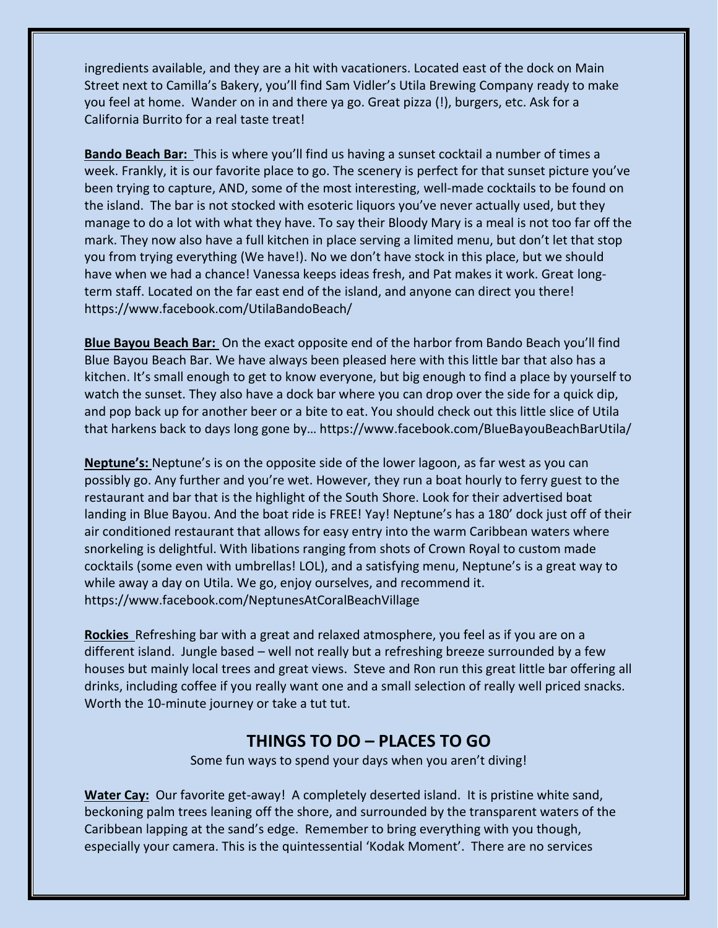ingredients available, and they are a hit with vacationers. Located east of the dock on Main Street next to Camilla's Bakery, you'll find Sam Vidler's Utila Brewing Company ready to make you feel at home. Wander on in and there ya go. Great pizza (!), burgers, etc. Ask for a California Burrito for a real taste treat!

**Bando Beach Bar:** This is where you'll find us having a sunset cocktail a number of times a week. Frankly, it is our favorite place to go. The scenery is perfect for that sunset picture you've been trying to capture, AND, some of the most interesting, well-made cocktails to be found on the island. The bar is not stocked with esoteric liquors you've never actually used, but they manage to do a lot with what they have. To say their Bloody Mary is a meal is not too far off the mark. They now also have a full kitchen in place serving a limited menu, but don't let that stop you from trying everything (We have!). No we don't have stock in this place, but we should have when we had a chance! Vanessa keeps ideas fresh, and Pat makes it work. Great longterm staff. Located on the far east end of the island, and anyone can direct you there! https://www.facebook.com/UtilaBandoBeach/

**Blue Bayou Beach Bar:** On the exact opposite end of the harbor from Bando Beach you'll find Blue Bayou Beach Bar. We have always been pleased here with this little bar that also has a kitchen. It's small enough to get to know everyone, but big enough to find a place by yourself to watch the sunset. They also have a dock bar where you can drop over the side for a quick dip, and pop back up for another beer or a bite to eat. You should check out this little slice of Utila that harkens back to days long gone by… https://www.facebook.com/BlueBayouBeachBarUtila/

**Neptune's:** Neptune's is on the opposite side of the lower lagoon, as far west as you can possibly go. Any further and you're wet. However, they run a boat hourly to ferry guest to the restaurant and bar that is the highlight of the South Shore. Look for their advertised boat landing in Blue Bayou. And the boat ride is FREE! Yay! Neptune's has a 180' dock just off of their air conditioned restaurant that allows for easy entry into the warm Caribbean waters where snorkeling is delightful. With libations ranging from shots of Crown Royal to custom made cocktails (some even with umbrellas! LOL), and a satisfying menu, Neptune's is a great way to while away a day on Utila. We go, enjoy ourselves, and recommend it. https://www.facebook.com/NeptunesAtCoralBeachVillage

**Rockies** Refreshing bar with a great and relaxed atmosphere, you feel as if you are on a different island. Jungle based – well not really but a refreshing breeze surrounded by a few houses but mainly local trees and great views. Steve and Ron run this great little bar offering all drinks, including coffee if you really want one and a small selection of really well priced snacks. Worth the 10-minute journey or take a tut tut.

# **THINGS TO DO – PLACES TO GO**

Some fun ways to spend your days when you aren't diving!

**Water Cay:** Our favorite get-away! A completely deserted island. It is pristine white sand, beckoning palm trees leaning off the shore, and surrounded by the transparent waters of the Caribbean lapping at the sand's edge. Remember to bring everything with you though, especially your camera. This is the quintessential 'Kodak Moment'. There are no services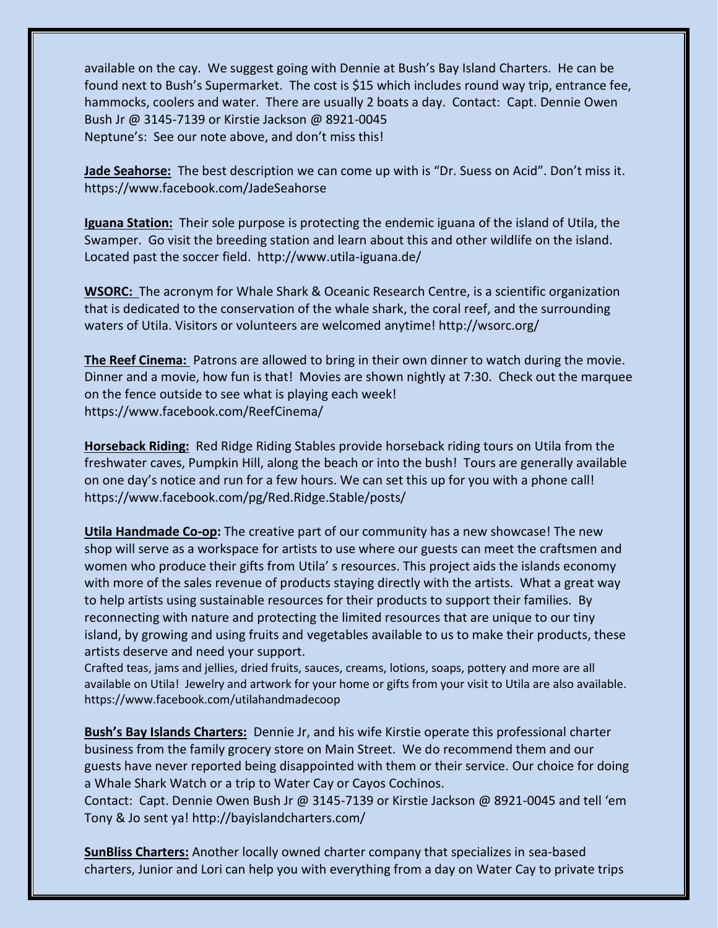available on the cay. We suggest going with Dennie at Bush's Bay Island Charters. He can be found next to Bush's Supermarket. The cost is \$15 which includes round way trip, entrance fee, hammocks, coolers and water. There are usually 2 boats a day. Contact: Capt. Dennie Owen Bush Jr @ 3145-7139 or Kirstie Jackson @ 8921-0045 Neptune's: See our note above, and don't miss this!

**Jade Seahorse:** The best description we can come up with is "Dr. Suess on Acid". Don't miss it. https://www.facebook.com/JadeSeahorse

**Iguana Station:** Their sole purpose is protecting the endemic iguana of the island of Utila, the Swamper. Go visit the breeding station and learn about this and other wildlife on the island. Located past the soccer field. http://www.utila-iguana.de/

**WSORC:** The acronym for Whale Shark & Oceanic Research Centre, is a scientific organization that is dedicated to the conservation of the whale shark, the coral reef, and the surrounding waters of Utila. Visitors or volunteers are welcomed anytime! http://wsorc.org/

**The Reef Cinema:** Patrons are allowed to bring in their own dinner to watch during the movie. Dinner and a movie, how fun is that! Movies are shown nightly at 7:30. Check out the marquee on the fence outside to see what is playing each week! https://www.facebook.com/ReefCinema/

**Horseback Riding:** Red Ridge Riding Stables provide horseback riding tours on Utila from the freshwater caves, Pumpkin Hill, along the beach or into the bush! Tours are generally available on one day's notice and run for a few hours. We can set this up for you with a phone call! https://www.facebook.com/pg/Red.Ridge.Stable/posts/

**[Utila Handmade Co-op:](https://www.facebook.com/utilahandmadecoop/?hc_ref=PAGES_TIMELINE&fref=nf)** The creative part of our community has a new showcase! The new shop will serve as a workspace for artists to use where our guests can meet the craftsmen and women who produce their gifts from Utila' s resources. This project aids the islands economy with more of the sales revenue of products staying directly with the artists. What a great way to help artists using sustainable resources for their products to support their families. By reconnecting with nature and protecting the limited resources that are unique to our tiny island, by growing and using fruits and vegetables available to us to make their products, these artists deserve and need your support.

Crafted teas, jams and jellies, dried fruits, sauces, creams, lotions, soaps, pottery and more are all available on Utila! Jewelry and artwork for your home or gifts from your visit to Utila are also available. https://www.facebook.com/utilahandmadecoop

**Bush's Bay Islands Charters:** Dennie Jr, and his wife Kirstie operate this professional charter business from the family grocery store on Main Street. We do recommend them and our guests have never reported being disappointed with them or their service. Our choice for doing a Whale Shark Watch or a trip to Water Cay or Cayos Cochinos.

Contact: Capt. Dennie Owen Bush Jr @ 3145-7139 or Kirstie Jackson @ 8921-0045 and tell 'em Tony & Jo sent ya! http://bayislandcharters.com/

**SunBliss Charters:** Another locally owned charter company that specializes in sea-based charters, Junior and Lori can help you with everything from a day on Water Cay to private trips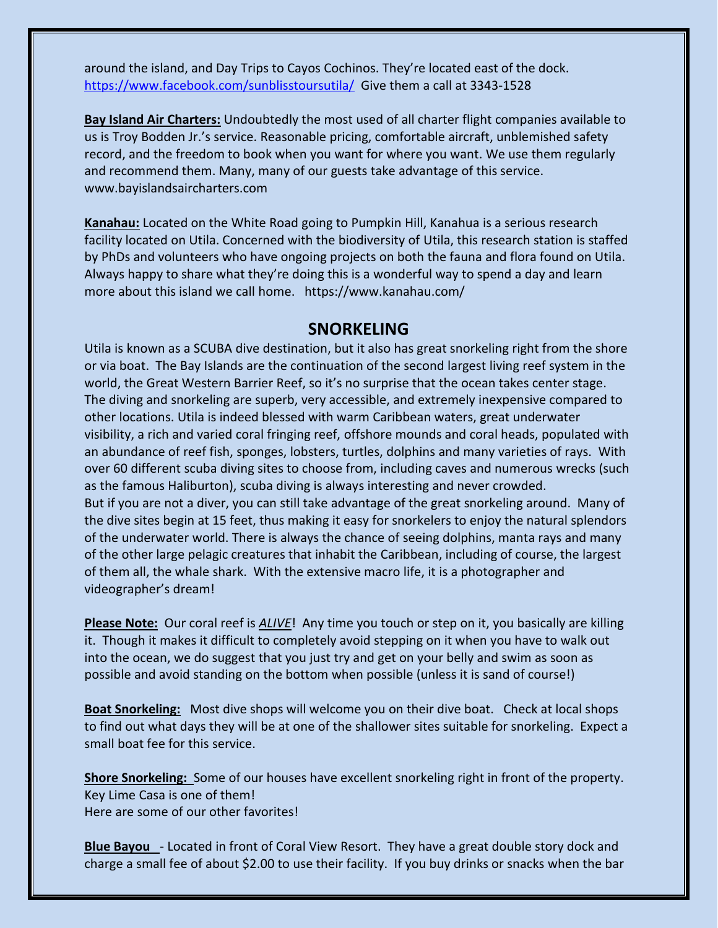around the island, and Day Trips to Cayos Cochinos. They're located east of the dock. <https://www.facebook.com/sunblisstoursutila/>Give them a call at 3343-1528

**Bay Island Air Charters:** Undoubtedly the most used of all charter flight companies available to us is Troy Bodden Jr.'s service. Reasonable pricing, comfortable aircraft, unblemished safety record, and the freedom to book when you want for where you want. We use them regularly and recommend them. Many, many of our guests take advantage of this service. www.bayislandsaircharters.com

**Kanahau:** Located on the White Road going to Pumpkin Hill, Kanahua is a serious research facility located on Utila. Concerned with the biodiversity of Utila, this research station is staffed by PhDs and volunteers who have ongoing projects on both the fauna and flora found on Utila. Always happy to share what they're doing this is a wonderful way to spend a day and learn more about this island we call home. https://www.kanahau.com/

### **SNORKELING**

Utila is known as a SCUBA dive destination, but it also has great snorkeling right from the shore or via boat. The Bay Islands are the continuation of the second largest living reef system in the world, the Great Western Barrier Reef, so it's no surprise that the ocean takes center stage. The diving and snorkeling are superb, very accessible, and extremely inexpensive compared to other locations. Utila is indeed blessed with warm Caribbean waters, great underwater visibility, a rich and varied coral fringing reef, offshore mounds and coral heads, populated with an abundance of reef fish, sponges, lobsters, turtles, dolphins and many varieties of rays. With over 60 different scuba diving sites to choose from, including caves and numerous wrecks (such as the famous Haliburton), scuba diving is always interesting and never crowded. But if you are not a diver, you can still take advantage of the great snorkeling around. Many of the dive sites begin at 15 feet, thus making it easy for snorkelers to enjoy the natural splendors of the underwater world. There is always the chance of seeing dolphins, manta rays and many of the other large pelagic creatures that inhabit the Caribbean, including of course, the largest of them all, the whale shark. With the extensive macro life, it is a photographer and videographer's dream!

**Please Note:** Our coral reef is *ALIVE*! Any time you touch or step on it, you basically are killing it. Though it makes it difficult to completely avoid stepping on it when you have to walk out into the ocean, we do suggest that you just try and get on your belly and swim as soon as possible and avoid standing on the bottom when possible (unless it is sand of course!)

**Boat Snorkeling:** Most dive shops will welcome you on their dive boat. Check at local shops to find out what days they will be at one of the shallower sites suitable for snorkeling. Expect a small boat fee for this service.

**Shore Snorkeling:** Some of our houses have excellent snorkeling right in front of the property. Key Lime Casa is one of them! Here are some of our other favorites!

**Blue Bayou** - Located in front of Coral View Resort. They have a great double story dock and charge a small fee of about \$2.00 to use their facility. If you buy drinks or snacks when the bar